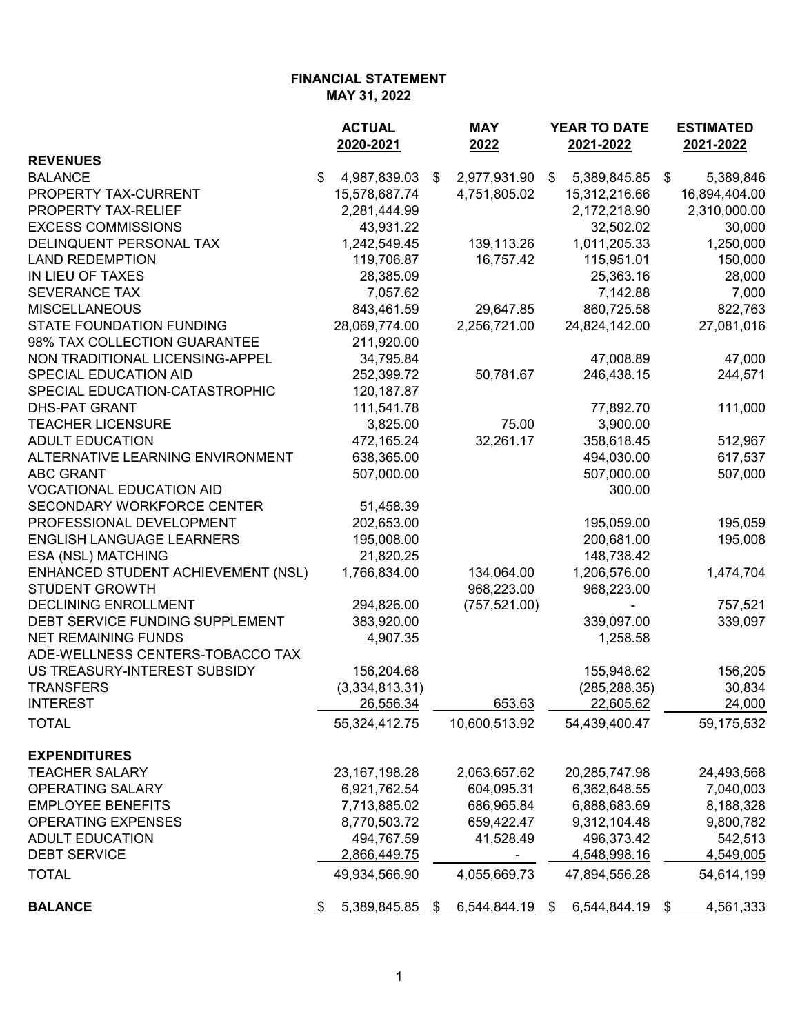#### **FINANCIAL STATEMENT MAY 31, 2022**

|                                    |               | <b>ACTUAL</b><br>2020-2021 | <b>MAY</b><br>2022 | <b>YEAR TO DATE</b><br>2021-2022 |               |    | <b>ESTIMATED</b><br>2021-2022 |  |
|------------------------------------|---------------|----------------------------|--------------------|----------------------------------|---------------|----|-------------------------------|--|
| <b>REVENUES</b>                    |               |                            |                    |                                  |               |    |                               |  |
| <b>BALANCE</b>                     | $\frac{1}{2}$ | 4,987,839.03               | \$<br>2,977,931.90 | \$                               | 5,389,845.85  | \$ | 5,389,846                     |  |
| PROPERTY TAX-CURRENT               |               | 15,578,687.74              | 4,751,805.02       |                                  | 15,312,216.66 |    | 16,894,404.00                 |  |
| PROPERTY TAX-RELIEF                |               | 2,281,444.99               |                    |                                  | 2,172,218.90  |    | 2,310,000.00                  |  |
| <b>EXCESS COMMISSIONS</b>          |               | 43,931.22                  |                    |                                  | 32,502.02     |    | 30,000                        |  |
| DELINQUENT PERSONAL TAX            |               | 1,242,549.45               | 139,113.26         |                                  | 1,011,205.33  |    | 1,250,000                     |  |
| <b>LAND REDEMPTION</b>             |               | 119,706.87                 | 16,757.42          |                                  | 115,951.01    |    | 150,000                       |  |
| IN LIEU OF TAXES                   |               | 28,385.09                  |                    |                                  | 25,363.16     |    | 28,000                        |  |
| <b>SEVERANCE TAX</b>               |               | 7,057.62                   |                    |                                  | 7,142.88      |    | 7,000                         |  |
| <b>MISCELLANEOUS</b>               |               | 843,461.59                 | 29,647.85          |                                  | 860,725.58    |    | 822,763                       |  |
| STATE FOUNDATION FUNDING           |               | 28,069,774.00              | 2,256,721.00       |                                  | 24,824,142.00 |    | 27,081,016                    |  |
| 98% TAX COLLECTION GUARANTEE       |               | 211,920.00                 |                    |                                  |               |    |                               |  |
| NON TRADITIONAL LICENSING-APPEL    |               | 34,795.84                  |                    |                                  | 47,008.89     |    | 47,000                        |  |
| SPECIAL EDUCATION AID              |               | 252,399.72                 | 50,781.67          |                                  | 246,438.15    |    | 244,571                       |  |
| SPECIAL EDUCATION-CATASTROPHIC     |               | 120, 187.87                |                    |                                  |               |    |                               |  |
| <b>DHS-PAT GRANT</b>               |               | 111,541.78                 |                    |                                  | 77,892.70     |    | 111,000                       |  |
| <b>TEACHER LICENSURE</b>           |               | 3,825.00                   | 75.00              |                                  | 3,900.00      |    |                               |  |
| <b>ADULT EDUCATION</b>             |               | 472,165.24                 | 32,261.17          |                                  | 358,618.45    |    | 512,967                       |  |
| ALTERNATIVE LEARNING ENVIRONMENT   |               | 638,365.00                 |                    |                                  | 494,030.00    |    | 617,537                       |  |
| <b>ABC GRANT</b>                   |               | 507,000.00                 |                    |                                  | 507,000.00    |    | 507,000                       |  |
| <b>VOCATIONAL EDUCATION AID</b>    |               |                            |                    |                                  | 300.00        |    |                               |  |
| SECONDARY WORKFORCE CENTER         |               | 51,458.39                  |                    |                                  |               |    |                               |  |
| PROFESSIONAL DEVELOPMENT           |               | 202,653.00                 |                    |                                  | 195,059.00    |    | 195,059                       |  |
| <b>ENGLISH LANGUAGE LEARNERS</b>   |               | 195,008.00                 |                    |                                  | 200,681.00    |    | 195,008                       |  |
| ESA (NSL) MATCHING                 |               | 21,820.25                  |                    |                                  | 148,738.42    |    |                               |  |
| ENHANCED STUDENT ACHIEVEMENT (NSL) |               | 1,766,834.00               | 134,064.00         |                                  | 1,206,576.00  |    | 1,474,704                     |  |
| <b>STUDENT GROWTH</b>              |               |                            | 968,223.00         |                                  | 968,223.00    |    |                               |  |
| <b>DECLINING ENROLLMENT</b>        |               | 294,826.00                 | (757, 521.00)      |                                  |               |    | 757,521                       |  |
| DEBT SERVICE FUNDING SUPPLEMENT    |               | 383,920.00                 |                    |                                  | 339,097.00    |    | 339,097                       |  |
| <b>NET REMAINING FUNDS</b>         |               | 4,907.35                   |                    |                                  | 1,258.58      |    |                               |  |
| ADE-WELLNESS CENTERS-TOBACCO TAX   |               |                            |                    |                                  |               |    |                               |  |
| US TREASURY-INTEREST SUBSIDY       |               | 156,204.68                 |                    |                                  | 155,948.62    |    | 156,205                       |  |
| <b>TRANSFERS</b>                   |               | (3,334,813.31)             |                    |                                  | (285, 288.35) |    | 30,834                        |  |
| <b>INTEREST</b>                    |               | 26,556.34                  | 653.63             |                                  | 22,605.62     |    | 24,000                        |  |
| <b>TOTAL</b>                       |               | 55,324,412.75              | 10,600,513.92      |                                  | 54,439,400.47 |    | 59,175,532                    |  |
| <b>EXPENDITURES</b>                |               |                            |                    |                                  |               |    |                               |  |
| <b>TEACHER SALARY</b>              |               | 23, 167, 198. 28           | 2,063,657.62       |                                  | 20,285,747.98 |    | 24,493,568                    |  |
| <b>OPERATING SALARY</b>            |               | 6,921,762.54               | 604,095.31         |                                  | 6,362,648.55  |    | 7,040,003                     |  |
| <b>EMPLOYEE BENEFITS</b>           |               | 7,713,885.02               | 686,965.84         |                                  | 6,888,683.69  |    | 8,188,328                     |  |
| <b>OPERATING EXPENSES</b>          |               | 8,770,503.72               | 659,422.47         |                                  | 9,312,104.48  |    | 9,800,782                     |  |
| <b>ADULT EDUCATION</b>             |               | 494,767.59                 | 41,528.49          |                                  | 496,373.42    |    | 542,513                       |  |
| <b>DEBT SERVICE</b>                |               | 2,866,449.75               |                    |                                  | 4,548,998.16  |    | <u>4,549,005</u>              |  |
| <b>TOTAL</b>                       |               | 49,934,566.90              | 4,055,669.73       |                                  | 47,894,556.28 |    | 54,614,199                    |  |
| <b>BALANCE</b>                     |               | 5,389,845.85               | \$<br>6,544,844.19 | \$                               | 6,544,844.19  | \$ | 4,561,333                     |  |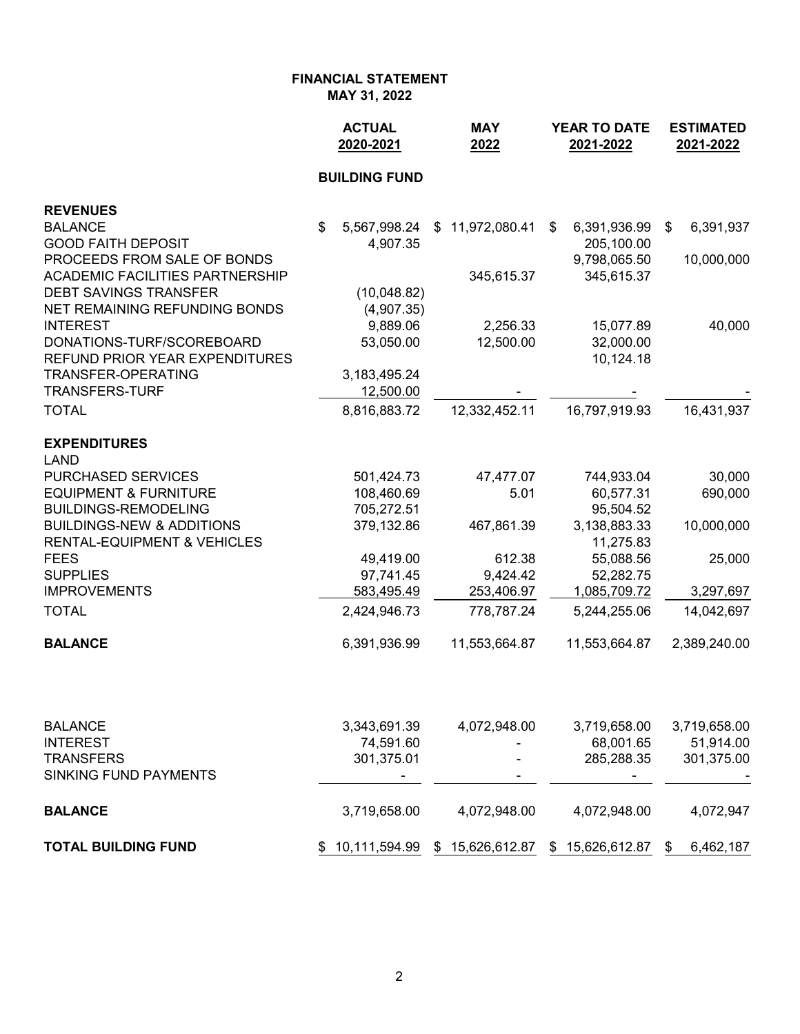**FINANCIAL STATEMENT MAY 31, 2022**

|                                                                       | <b>ACTUAL</b><br>2020-2021 | <b>MAY</b><br>2022 | <b>YEAR TO DATE</b><br>2021-2022 | <b>ESTIMATED</b><br>2021-2022 |  |
|-----------------------------------------------------------------------|----------------------------|--------------------|----------------------------------|-------------------------------|--|
|                                                                       | <b>BUILDING FUND</b>       |                    |                                  |                               |  |
| <b>REVENUES</b>                                                       |                            |                    |                                  |                               |  |
| <b>BALANCE</b>                                                        | \$<br>5,567,998.24         | \$11,972,080.41    | 6,391,936.99<br>\$               | 6,391,937<br>\$               |  |
| <b>GOOD FAITH DEPOSIT</b>                                             | 4,907.35                   |                    | 205,100.00                       |                               |  |
| PROCEEDS FROM SALE OF BONDS<br><b>ACADEMIC FACILITIES PARTNERSHIP</b> |                            |                    | 9,798,065.50<br>345,615.37       | 10,000,000                    |  |
| <b>DEBT SAVINGS TRANSFER</b>                                          | (10,048.82)                | 345,615.37         |                                  |                               |  |
| NET REMAINING REFUNDING BONDS                                         | (4,907.35)                 |                    |                                  |                               |  |
| <b>INTEREST</b>                                                       | 9,889.06                   | 2,256.33           | 15,077.89                        | 40,000                        |  |
| DONATIONS-TURF/SCOREBOARD                                             | 53,050.00                  | 12,500.00          | 32,000.00                        |                               |  |
| REFUND PRIOR YEAR EXPENDITURES                                        |                            |                    | 10,124.18                        |                               |  |
| TRANSFER-OPERATING                                                    | 3,183,495.24               |                    |                                  |                               |  |
| <b>TRANSFERS-TURF</b>                                                 | 12,500.00                  |                    |                                  |                               |  |
| <b>TOTAL</b>                                                          | 8,816,883.72               | 12,332,452.11      | 16,797,919.93                    | 16,431,937                    |  |
| <b>EXPENDITURES</b>                                                   |                            |                    |                                  |                               |  |
| <b>LAND</b>                                                           |                            |                    |                                  |                               |  |
| PURCHASED SERVICES                                                    | 501,424.73                 | 47,477.07          | 744,933.04                       | 30,000                        |  |
| <b>EQUIPMENT &amp; FURNITURE</b>                                      | 108,460.69                 | 5.01               | 60,577.31                        | 690,000                       |  |
| <b>BUILDINGS-REMODELING</b>                                           | 705,272.51                 |                    | 95,504.52                        |                               |  |
| <b>BUILDINGS-NEW &amp; ADDITIONS</b>                                  | 379,132.86                 | 467,861.39         | 3,138,883.33                     | 10,000,000                    |  |
| <b>RENTAL-EQUIPMENT &amp; VEHICLES</b>                                |                            |                    | 11,275.83                        |                               |  |
| <b>FEES</b>                                                           | 49,419.00                  | 612.38             | 55,088.56                        | 25,000                        |  |
| <b>SUPPLIES</b>                                                       | 97,741.45                  | 9,424.42           | 52,282.75                        |                               |  |
| <b>IMPROVEMENTS</b>                                                   | 583,495.49                 | 253,406.97         | 1,085,709.72                     | 3,297,697                     |  |
| <b>TOTAL</b>                                                          | 2,424,946.73               | 778,787.24         | 5,244,255.06                     | 14,042,697                    |  |
| <b>BALANCE</b>                                                        | 6,391,936.99               | 11,553,664.87      | 11,553,664.87                    | 2,389,240.00                  |  |
|                                                                       |                            |                    |                                  |                               |  |
| <b>BALANCE</b>                                                        | 3,343,691.39               | 4,072,948.00       | 3,719,658.00                     | 3,719,658.00                  |  |
| <b>INTEREST</b>                                                       | 74,591.60                  |                    | 68,001.65                        | 51,914.00                     |  |
| <b>TRANSFERS</b>                                                      | 301,375.01                 |                    | 285,288.35                       | 301,375.00                    |  |
| SINKING FUND PAYMENTS                                                 |                            |                    |                                  |                               |  |

**TOTAL BUILDING FUND** \$ 10,111,594.99 \$ 15,626,612.87 \$ 15,626,612.87 \$ 6,462,187

**BALANCE** 3,719,658.00 4,072,948.00 4,072,948.00 4,072,947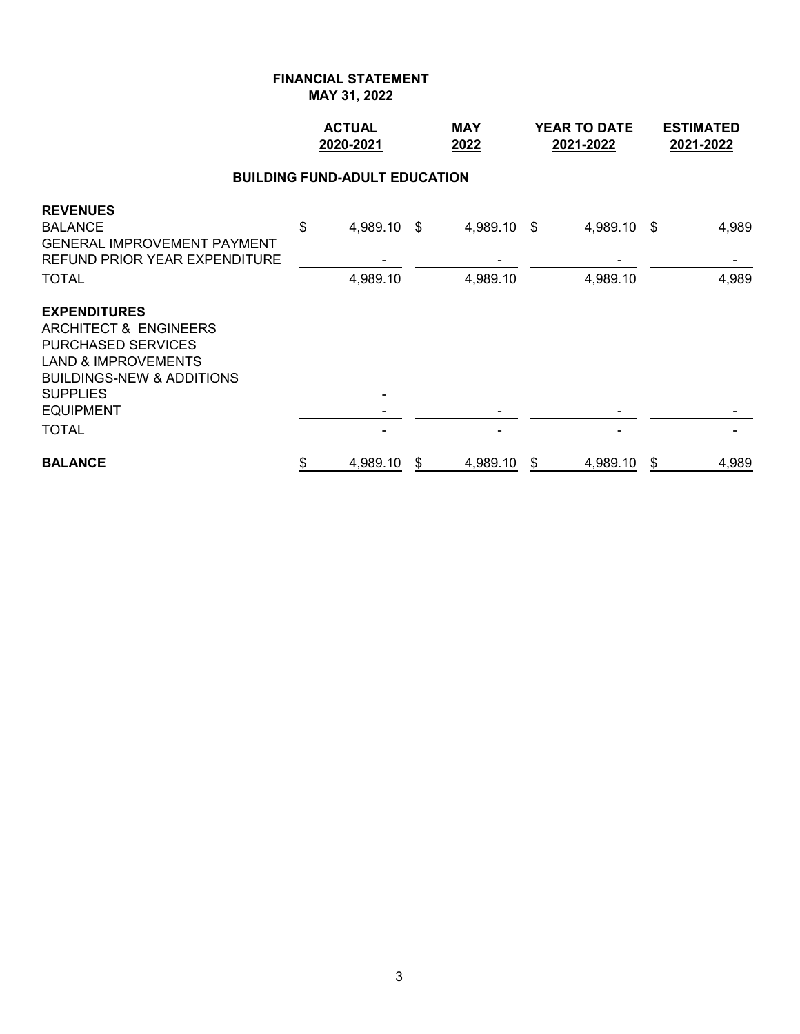|                                                                                                                                                                                                                       |    | <b>ACTUAL</b><br>2020-2021 |    | <b>MAY</b><br>2022      | YEAR TO DATE<br>2021-2022 |                         |    | <b>ESTIMATED</b><br>2021-2022 |  |  |  |  |  |
|-----------------------------------------------------------------------------------------------------------------------------------------------------------------------------------------------------------------------|----|----------------------------|----|-------------------------|---------------------------|-------------------------|----|-------------------------------|--|--|--|--|--|
| <b>BUILDING FUND-ADULT EDUCATION</b>                                                                                                                                                                                  |    |                            |    |                         |                           |                         |    |                               |  |  |  |  |  |
| <b>REVENUES</b><br><b>BALANCE</b><br><b>GENERAL IMPROVEMENT PAYMENT</b><br><b>REFUND PRIOR YEAR EXPENDITURE</b><br><b>TOTAL</b>                                                                                       | \$ | 4,989.10 \$<br>4,989.10    |    | 4,989.10 \$<br>4,989.10 |                           | 4,989.10 \$<br>4,989.10 |    | 4,989<br>4,989                |  |  |  |  |  |
| <b>EXPENDITURES</b><br><b>ARCHITECT &amp; ENGINEERS</b><br><b>PURCHASED SERVICES</b><br><b>LAND &amp; IMPROVEMENTS</b><br><b>BUILDINGS-NEW &amp; ADDITIONS</b><br><b>SUPPLIES</b><br><b>EQUIPMENT</b><br><b>TOTAL</b> |    |                            |    |                         |                           |                         |    |                               |  |  |  |  |  |
| <b>BALANCE</b>                                                                                                                                                                                                        | \$ | 4,989.10                   | \$ | 4,989.10                | \$                        | 4,989.10                | \$ | 4,989                         |  |  |  |  |  |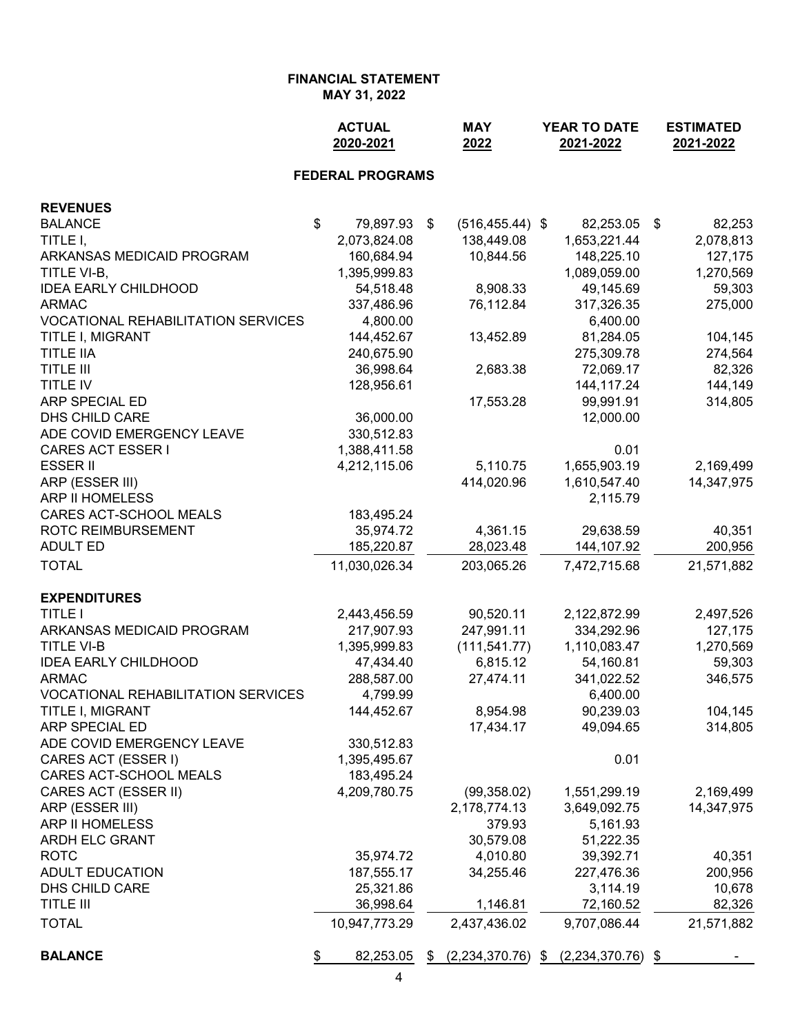|                                           | <b>ACTUAL</b><br>2020-2021 | <b>MAY</b><br>2022        | YEAR TO DATE<br>2021-2022 |      | <b>ESTIMATED</b><br>2021-2022 |
|-------------------------------------------|----------------------------|---------------------------|---------------------------|------|-------------------------------|
|                                           | <b>FEDERAL PROGRAMS</b>    |                           |                           |      |                               |
| <b>REVENUES</b>                           |                            |                           |                           |      |                               |
| <b>BALANCE</b>                            | \$<br>79,897.93            | \$<br>$(516, 455.44)$ \$  | 82,253.05                 | - \$ | 82,253                        |
| TITLE I,                                  | 2,073,824.08               | 138,449.08                | 1,653,221.44              |      | 2,078,813                     |
| ARKANSAS MEDICAID PROGRAM                 | 160,684.94                 | 10,844.56                 | 148,225.10                |      | 127,175                       |
| TITLE VI-B,                               | 1,395,999.83               |                           | 1,089,059.00              |      | 1,270,569                     |
| <b>IDEA EARLY CHILDHOOD</b>               | 54,518.48                  | 8,908.33                  | 49,145.69                 |      | 59,303                        |
| <b>ARMAC</b>                              | 337,486.96                 | 76,112.84                 | 317,326.35                |      | 275,000                       |
| <b>VOCATIONAL REHABILITATION SERVICES</b> | 4,800.00                   |                           | 6,400.00                  |      |                               |
| TITLE I, MIGRANT                          | 144,452.67                 | 13,452.89                 | 81,284.05                 |      | 104,145                       |
| <b>TITLE IIA</b>                          | 240,675.90                 |                           | 275,309.78                |      | 274,564                       |
| <b>TITLE III</b>                          | 36,998.64                  | 2,683.38                  | 72,069.17                 |      | 82,326                        |
| <b>TITLE IV</b>                           | 128,956.61                 |                           | 144, 117. 24              |      | 144,149                       |
| ARP SPECIAL ED                            |                            | 17,553.28                 | 99,991.91                 |      | 314,805                       |
| DHS CHILD CARE                            | 36,000.00                  |                           | 12,000.00                 |      |                               |
| ADE COVID EMERGENCY LEAVE                 | 330,512.83                 |                           |                           |      |                               |
| <b>CARES ACT ESSER I</b>                  | 1,388,411.58               |                           | 0.01                      |      |                               |
| <b>ESSER II</b>                           | 4,212,115.06               | 5,110.75                  | 1,655,903.19              |      | 2,169,499                     |
| ARP (ESSER III)                           |                            | 414,020.96                | 1,610,547.40              |      | 14,347,975                    |
| ARP II HOMELESS                           |                            |                           | 2,115.79                  |      |                               |
| CARES ACT-SCHOOL MEALS                    | 183,495.24                 |                           |                           |      |                               |
| ROTC REIMBURSEMENT                        | 35,974.72                  | 4,361.15                  | 29,638.59                 |      | 40,351                        |
| <b>ADULT ED</b>                           | 185,220.87                 | 28,023.48                 | 144,107.92                |      | 200,956                       |
| <b>TOTAL</b>                              | 11,030,026.34              | 203,065.26                | 7,472,715.68              |      | 21,571,882                    |
| <b>EXPENDITURES</b>                       |                            |                           |                           |      |                               |
| <b>TITLE I</b>                            | 2,443,456.59               | 90,520.11                 | 2,122,872.99              |      | 2,497,526                     |
| ARKANSAS MEDICAID PROGRAM                 | 217,907.93                 | 247,991.11                | 334,292.96                |      | 127,175                       |
| <b>TITLE VI-B</b>                         | 1,395,999.83               | (111, 541.77)             | 1,110,083.47              |      | 1,270,569                     |
| <b>IDEA EARLY CHILDHOOD</b>               | 47,434.40                  | 6,815.12                  | 54,160.81                 |      | 59,303                        |
| <b>ARMAC</b>                              | 288,587.00                 | 27,474.11                 | 341,022.52                |      | 346,575                       |
| VOCATIONAL REHABILITATION SERVICES        | 4,799.99                   |                           | 6,400.00                  |      |                               |
| TITLE I, MIGRANT                          | 144,452.67                 | 8,954.98                  | 90,239.03                 |      | 104,145                       |
| ARP SPECIAL ED                            |                            | 17,434.17                 | 49,094.65                 |      | 314,805                       |
| ADE COVID EMERGENCY LEAVE                 | 330,512.83                 |                           |                           |      |                               |
| CARES ACT (ESSER I)                       | 1,395,495.67               |                           | 0.01                      |      |                               |
| CARES ACT-SCHOOL MEALS                    | 183,495.24                 |                           |                           |      |                               |
| CARES ACT (ESSER II)                      | 4,209,780.75               | (99, 358.02)              | 1,551,299.19              |      | 2,169,499                     |
| ARP (ESSER III)                           |                            | 2,178,774.13              | 3,649,092.75              |      | 14,347,975                    |
| ARP II HOMELESS                           |                            | 379.93                    | 5,161.93                  |      |                               |
| ARDH ELC GRANT                            |                            | 30,579.08                 | 51,222.35                 |      |                               |
| <b>ROTC</b>                               | 35,974.72                  | 4,010.80                  | 39,392.71                 |      | 40,351                        |
| <b>ADULT EDUCATION</b>                    | 187,555.17                 | 34,255.46                 | 227,476.36                |      | 200,956                       |
| DHS CHILD CARE                            | 25,321.86                  |                           | 3,114.19                  |      | 10,678                        |
| <b>TITLE III</b>                          | 36,998.64                  | 1,146.81                  | 72,160.52                 |      | 82,326                        |
| <b>TOTAL</b>                              | 10,947,773.29              | 2,437,436.02              | 9,707,086.44              |      | 21,571,882                    |
| <b>BALANCE</b>                            | \$<br>82,253.05            | \$<br>$(2,234,370.76)$ \$ | $(2,234,370.76)$ \$       |      |                               |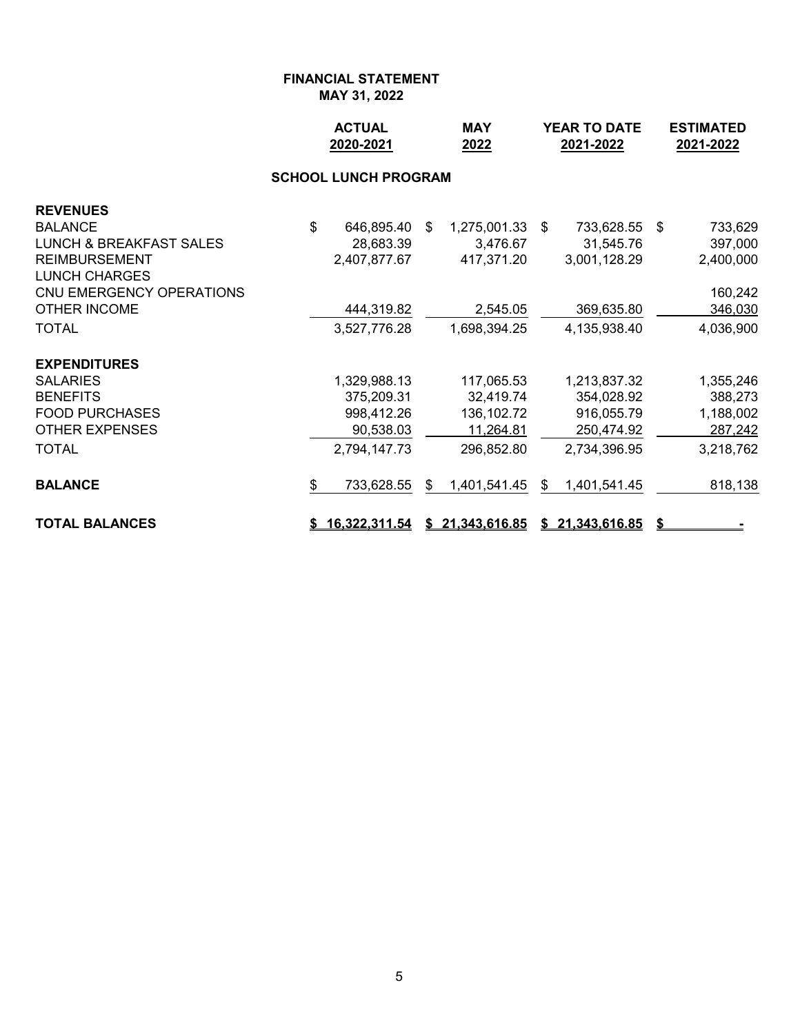|                                                                                                                                                     |              | <b>ACTUAL</b><br>2020-2021                                            | <b>MAY</b><br>2022                                                 |    | <b>YEAR TO DATE</b><br>2021-2022                                       | <b>ESTIMATED</b><br>2021-2022 |                                                           |
|-----------------------------------------------------------------------------------------------------------------------------------------------------|--------------|-----------------------------------------------------------------------|--------------------------------------------------------------------|----|------------------------------------------------------------------------|-------------------------------|-----------------------------------------------------------|
|                                                                                                                                                     |              | <b>SCHOOL LUNCH PROGRAM</b>                                           |                                                                    |    |                                                                        |                               |                                                           |
| <b>REVENUES</b><br><b>BALANCE</b><br><b>LUNCH &amp; BREAKFAST SALES</b><br><b>REIMBURSEMENT</b><br><b>LUNCH CHARGES</b><br>CNU EMERGENCY OPERATIONS | $\mathbb{S}$ | 646,895.40 \$<br>28,683.39<br>2,407,877.67                            | 1,275,001.33 \$<br>3,476.67<br>417,371.20                          |    | 733,628.55 \$<br>31,545.76<br>3,001,128.29                             |                               | 733,629<br>397,000<br>2,400,000<br>160,242                |
| <b>OTHER INCOME</b><br><b>TOTAL</b>                                                                                                                 |              | 444,319.82<br>3,527,776.28                                            | 2,545.05<br>1,698,394.25                                           |    | 369,635.80<br>4,135,938.40                                             |                               | 346,030<br>4,036,900                                      |
| <b>EXPENDITURES</b><br><b>SALARIES</b><br><b>BENEFITS</b><br><b>FOOD PURCHASES</b><br><b>OTHER EXPENSES</b><br><b>TOTAL</b>                         |              | 1,329,988.13<br>375,209.31<br>998,412.26<br>90,538.03<br>2,794,147.73 | 117,065.53<br>32,419.74<br>136, 102. 72<br>11,264.81<br>296,852.80 |    | 1,213,837.32<br>354,028.92<br>916,055.79<br>250,474.92<br>2,734,396.95 |                               | 1,355,246<br>388,273<br>1,188,002<br>287,242<br>3,218,762 |
| <b>BALANCE</b>                                                                                                                                      | \$           | 733,628.55                                                            | \$<br>1,401,541.45                                                 | \$ | 1,401,541.45                                                           |                               | 818,138                                                   |
| <b>TOTAL BALANCES</b>                                                                                                                               |              | <u>16,322,311.54 \$21,343,616.85</u>                                  |                                                                    |    | \$21,343,616.85                                                        |                               |                                                           |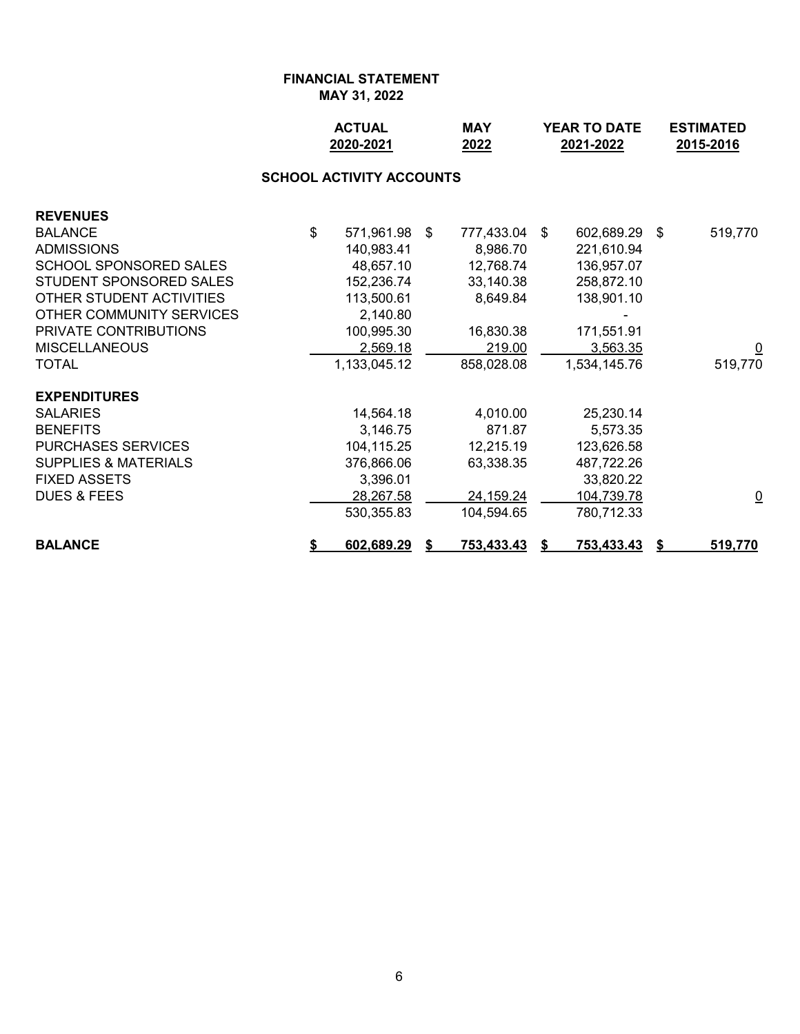|                                 | <b>ACTUAL</b><br>2020-2021      | <b>MAY</b><br>2022 |     | <b>YEAR TO DATE</b><br>2021-2022 | <b>ESTIMATED</b><br>2015-2016 |                         |  |
|---------------------------------|---------------------------------|--------------------|-----|----------------------------------|-------------------------------|-------------------------|--|
|                                 | <b>SCHOOL ACTIVITY ACCOUNTS</b> |                    |     |                                  |                               |                         |  |
| <b>REVENUES</b>                 |                                 |                    |     |                                  |                               |                         |  |
| <b>BALANCE</b>                  | \$<br>571,961.98                | \$<br>777,433.04   | -\$ | 602,689.29                       | \$                            | 519,770                 |  |
| <b>ADMISSIONS</b>               | 140,983.41                      | 8,986.70           |     | 221,610.94                       |                               |                         |  |
| <b>SCHOOL SPONSORED SALES</b>   | 48,657.10                       | 12,768.74          |     | 136,957.07                       |                               |                         |  |
| STUDENT SPONSORED SALES         | 152,236.74                      | 33,140.38          |     | 258,872.10                       |                               |                         |  |
| OTHER STUDENT ACTIVITIES        | 113,500.61                      | 8,649.84           |     | 138,901.10                       |                               |                         |  |
| OTHER COMMUNITY SERVICES        | 2,140.80                        |                    |     |                                  |                               |                         |  |
| PRIVATE CONTRIBUTIONS           | 100,995.30                      | 16,830.38          |     | 171,551.91                       |                               |                         |  |
| <b>MISCELLANEOUS</b>            | 2,569.18                        | 219.00             |     | 3,563.35                         |                               | $\overline{\mathsf{C}}$ |  |
| <b>TOTAL</b>                    | 1,133,045.12                    | 858,028.08         |     | 1,534,145.76                     |                               | 519,770                 |  |
| <b>EXPENDITURES</b>             |                                 |                    |     |                                  |                               |                         |  |
| <b>SALARIES</b>                 | 14,564.18                       | 4,010.00           |     | 25,230.14                        |                               |                         |  |
| <b>BENEFITS</b>                 | 3,146.75                        | 871.87             |     | 5,573.35                         |                               |                         |  |
| <b>PURCHASES SERVICES</b>       | 104,115.25                      | 12,215.19          |     | 123,626.58                       |                               |                         |  |
| <b>SUPPLIES &amp; MATERIALS</b> | 376,866.06                      | 63,338.35          |     | 487,722.26                       |                               |                         |  |
| <b>FIXED ASSETS</b>             | 3,396.01                        |                    |     | 33,820.22                        |                               |                         |  |
| <b>DUES &amp; FEES</b>          | 28,267.58                       | 24,159.24          |     | 104,739.78                       |                               | $\overline{\mathsf{C}}$ |  |
|                                 | 530,355.83                      | 104,594.65         |     | 780,712.33                       |                               |                         |  |
| <b>BALANCE</b>                  | \$<br>602,689.29                | 753,433.43         |     | 753,433.43                       |                               | 519,770                 |  |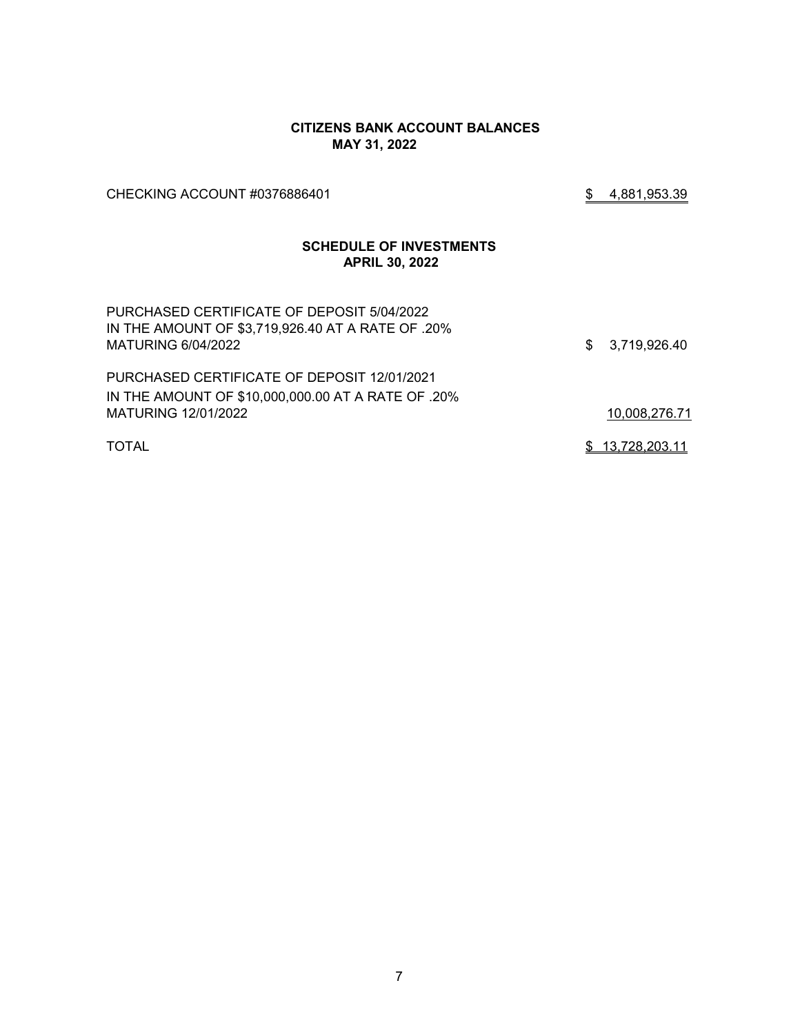#### **CITIZENS BANK ACCOUNT BALANCES MAY 31, 2022**

CHECKING ACCOUNT #0376886401 3 3 4,881,953.39

### **SCHEDULE OF INVESTMENTS APRIL 30, 2022**

| PURCHASED CERTIFICATE OF DEPOSIT 5/04/2022<br>IN THE AMOUNT OF \$3,719,926.40 AT A RATE OF .20%<br>MATURING 6/04/2022 | \$3,719,926.40  |
|-----------------------------------------------------------------------------------------------------------------------|-----------------|
| PURCHASED CERTIFICATE OF DEPOSIT 12/01/2021                                                                           |                 |
| IN THE AMOUNT OF \$10,000,000.00 AT A RATE OF .20%                                                                    |                 |
| MATURING 12/01/2022                                                                                                   | 10,008,276.71   |
| <b>TOTAL</b>                                                                                                          | \$13,728,203.11 |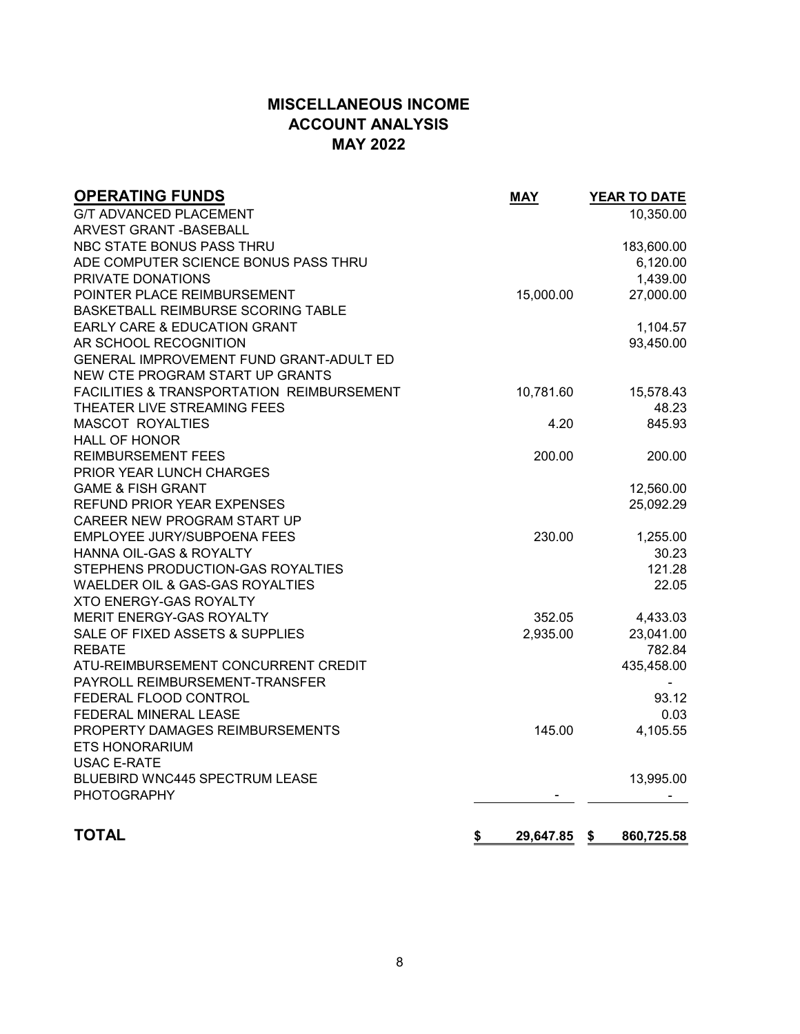### **MISCELLANEOUS INCOME ACCOUNT ANALYSIS MAY 2022**

| <b>OPERATING FUNDS</b>                               | <b>MAY</b>      | YEAR TO DATE     |
|------------------------------------------------------|-----------------|------------------|
| <b>G/T ADVANCED PLACEMENT</b>                        |                 | 10,350.00        |
| ARVEST GRANT - BASEBALL                              |                 |                  |
| NBC STATE BONUS PASS THRU                            |                 | 183,600.00       |
| ADE COMPUTER SCIENCE BONUS PASS THRU                 |                 | 6,120.00         |
| PRIVATE DONATIONS                                    |                 | 1,439.00         |
| POINTER PLACE REIMBURSEMENT                          | 15,000.00       | 27,000.00        |
| BASKETBALL REIMBURSE SCORING TABLE                   |                 |                  |
| EARLY CARE & EDUCATION GRANT                         |                 | 1,104.57         |
| AR SCHOOL RECOGNITION                                |                 | 93,450.00        |
| GENERAL IMPROVEMENT FUND GRANT-ADULT ED              |                 |                  |
| NEW CTE PROGRAM START UP GRANTS                      |                 |                  |
| <b>FACILITIES &amp; TRANSPORTATION REIMBURSEMENT</b> | 10,781.60       | 15,578.43        |
| THEATER LIVE STREAMING FEES                          |                 | 48.23            |
| <b>MASCOT ROYALTIES</b>                              | 4.20            | 845.93           |
| <b>HALL OF HONOR</b>                                 |                 |                  |
| <b>REIMBURSEMENT FEES</b>                            | 200.00          | 200.00           |
| PRIOR YEAR LUNCH CHARGES                             |                 |                  |
| <b>GAME &amp; FISH GRANT</b>                         |                 | 12,560.00        |
| REFUND PRIOR YEAR EXPENSES                           |                 | 25,092.29        |
| CAREER NEW PROGRAM START UP                          |                 |                  |
| EMPLOYEE JURY/SUBPOENA FEES                          | 230.00          | 1,255.00         |
| HANNA OIL-GAS & ROYALTY                              |                 | 30.23            |
| STEPHENS PRODUCTION-GAS ROYALTIES                    |                 | 121.28           |
| WAELDER OIL & GAS-GAS ROYALTIES                      |                 | 22.05            |
| <b>XTO ENERGY-GAS ROYALTY</b>                        |                 |                  |
| MERIT ENERGY-GAS ROYALTY                             | 352.05          | 4,433.03         |
| SALE OF FIXED ASSETS & SUPPLIES                      | 2,935.00        | 23,041.00        |
| <b>REBATE</b>                                        |                 | 782.84           |
| ATU-REIMBURSEMENT CONCURRENT CREDIT                  |                 | 435,458.00       |
| PAYROLL REIMBURSEMENT-TRANSFER                       |                 |                  |
| FEDERAL FLOOD CONTROL                                |                 | 93.12            |
| FEDERAL MINERAL LEASE                                |                 | 0.03             |
| PROPERTY DAMAGES REIMBURSEMENTS                      | 145.00          | 4,105.55         |
| <b>ETS HONORARIUM</b>                                |                 |                  |
| <b>USAC E-RATE</b>                                   |                 |                  |
| BLUEBIRD WNC445 SPECTRUM LEASE                       |                 | 13,995.00        |
| <b>PHOTOGRAPHY</b>                                   |                 |                  |
| <b>TOTAL</b>                                         | \$<br>29,647.85 | \$<br>860,725.58 |